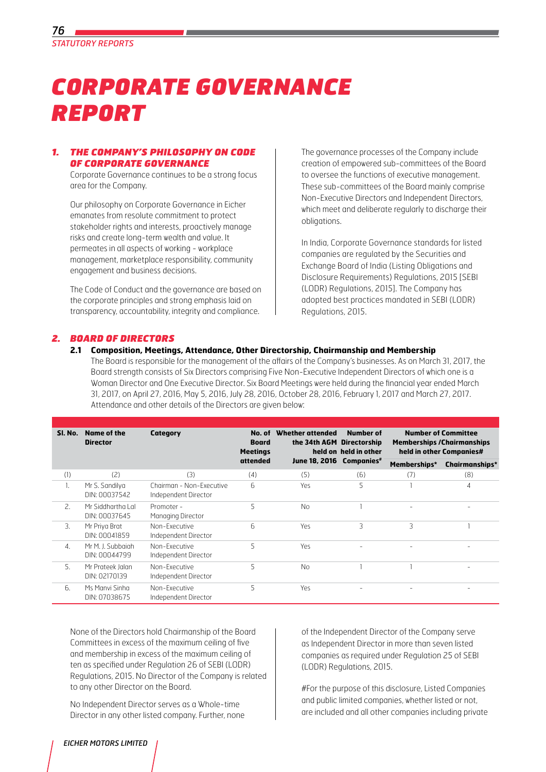

# *CORPORATE GOVERNANCE REPORT*

## *1. THE COMPANY'S PHILOSOPHY ON CODE OF CORPORATE GOVERNANCE*

 Corporate Governance continues to be a strong focus area for the Company.

Our philosophy on Corporate Governance in Eicher emanates from resolute commitment to protect stakeholder rights and interests, proactively manage risks and create long-term wealth and value. It permeates in all aspects of working - workplace management, marketplace responsibility, community engagement and business decisions.

The code of conduct and the governance are based on the corporate principles and strong emphasis laid on transparency, accountability, integrity and compliance.

The governance processes of the Company include creation of empowered sub-committees of the Board to oversee the functions of executive management. These sub-committees of the Board mainly comprise Non-Executive Directors and Independent Directors, which meet and deliberate regularly to discharge their obligations.

In India, Corporate Governance standards for listed companies are regulated by the Securities and Exchange Board of India (Listing Obligations and Disclosure Requirements) Regulations, 2015 [SEBI (LODR) Regulations, 2015]. The Company has adopted best practices mandated in SEBI (LODR) Regulations, 2015.

## *2. BOARD OF DIRECTORS*

#### **2.1 Composition, Meetings, Attendance, Other Directorship, Chairmanship and Membership**

The Board is responsible for the management of the affairs of the Company's businesses. As on March 31, 2017, the Board strength consists of Six Directors comprising Five Non-Executive Independent Directors of which one is a Woman Director and One Executive Director. Six Board Meetings were held during the financial year ended March 31, 2017, on April 27, 2016, May 5, 2016, July 28, 2016, October 28, 2016, February 1, 2017 and March 27, 2017. Attendance and other details of the Directors are given below:

| SI. No.               | <b>Name of the</b><br>Category<br><b>Director</b> |                                                  | No. of<br><b>Board</b><br><b>Meetings</b> | Whether attended<br>the 34th AGM Directorship | Number of<br>held on held in other | <b>Number of Committee</b><br><b>Memberships / Chairmanships</b><br>held in other Companies# |                       |
|-----------------------|---------------------------------------------------|--------------------------------------------------|-------------------------------------------|-----------------------------------------------|------------------------------------|----------------------------------------------------------------------------------------------|-----------------------|
|                       |                                                   |                                                  | attended                                  | June 18, 2016 Companies*                      |                                    | Memberships*                                                                                 | <b>Chairmanships*</b> |
| (1)                   | (2)                                               | (3)                                              | (4)                                       | (5)                                           | (6)                                | (7)                                                                                          | (8)                   |
|                       | Mr S. Sandilya<br>DIN: 00037542                   | Chairman - Non-Executive<br>Independent Director | 6                                         | Yes                                           | 5                                  |                                                                                              | 4                     |
| 2.                    | Mr Siddhartha Lal<br>DIN: 00037645                | Promoter -<br>Managing Director                  | 5                                         | <b>No</b>                                     |                                    |                                                                                              |                       |
| 3.                    | Mr Priya Brat<br>DIN: 00041859                    | Non-Executive<br>Independent Director            | 6                                         | Yes                                           | 3                                  | 3                                                                                            |                       |
| $\mathcal{A}_{\cdot}$ | Mr M. J. Subbaiah<br>DIN: 00044799                | Non-Executive<br>Independent Director            | 5                                         | Yes                                           |                                    |                                                                                              |                       |
| 5.                    | Mr Prateek Jalan<br>DIN: 02170139                 | Non-Executive<br>Independent Director            | 5                                         | N <sub>0</sub>                                |                                    |                                                                                              |                       |
| б.                    | Ms Manyi Sinha<br>DIN: 07038675                   | Non-Executive<br>Independent Director            | 5                                         | Yes                                           |                                    |                                                                                              |                       |

None of the Directors hold Chairmanship of the Board Committees in excess of the maximum ceiling of five and membership in excess of the maximum ceiling of ten as specified under Regulation 26 of SEBI (LODR) Regulations, 2015. No Director of the Company is related to any other Director on the Board.

No Independent Director serves as a Whole-time Director in any other listed company. Further, none of the Independent Director of the Company serve as Independent Director in more than seven listed companies as required under Regulation 25 of SEBI (LODR) Regulations, 2015.

#For the purpose of this disclosure, Listed Companies and public limited companies, whether listed or not, are included and all other companies including private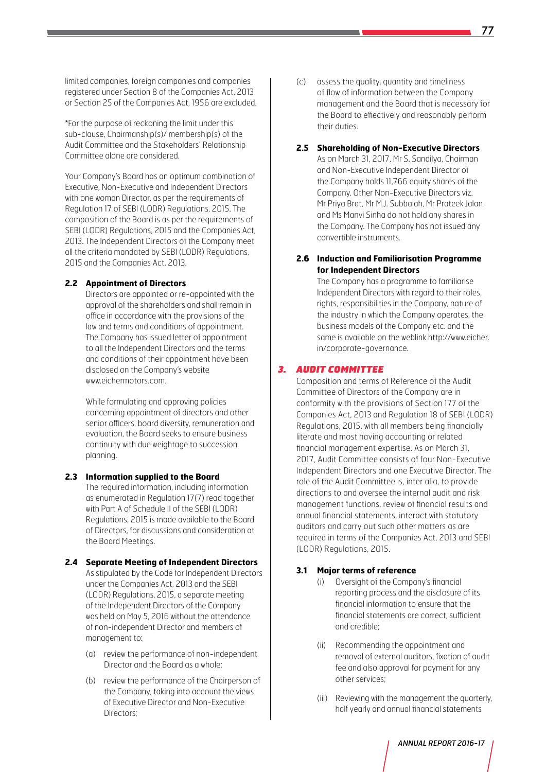limited companies, foreign companies and companies registered under Section 8 of the Companies Act, 2013 or Section 25 of the Companies Act, 1956 are excluded.

\*For the purpose of reckoning the limit under this sub-clause, Chairmanship(s)/ membership(s) of the Audit Committee and the Stakeholders' Relationship Committee alone are considered.

Your Company's Board has an optimum combination of Executive, Non-Executive and Independent Directors with one woman Director, as per the requirements of Regulation 17 of SEBI (LODR) Regulations, 2015. The composition of the Board is as per the requirements of SEBI (LODR) Regulations, 2015 and the Companies Act, 2013. The Independent Directors of the Company meet all the criteria mandated by SEBI (LODR) Regulations, 2015 and the Companies Act, 2013.

#### **2.2 Appointment of Directors**

 Directors are appointed or re-appointed with the approval of the shareholders and shall remain in office in accordance with the provisions of the law and terms and conditions of appointment. The Company has issued letter of appointment to all the Independent Directors and the terms and conditions of their appointment have been disclosed on the Company's website www.eichermotors.com.

 While formulating and approving policies concerning appointment of directors and other senior officers, board diversity, remuneration and evaluation, the Board seeks to ensure business continuity with due weightage to succession planning.

- **2.3 Information supplied to the Board** The required information, including information as enumerated in Regulation 17(7) read together with Part A of Schedule II of the SEBI (LODR) Regulations, 2015 is made available to the Board of Directors, for discussions and consideration at the Board Meetings.
- **2.4 Separate Meeting of Independent Directors** As stipulated by the Code for Independent Directors under the Companies Act, 2013 and the SEBI (LODR) Regulations, 2015, a separate meeting of the Independent Directors of the Company was held on May 5, 2016 without the attendance of non-independent Director and members of management to:
	- (a) review the performance of non-independent Director and the Board as a whole;
	- (b) review the performance of the Chairperson of the Company, taking into account the views of Executive Director and Non-Executive Directors;

(c) assess the quality, quantity and timeliness of flow of information between the Company management and the Board that is necessary for the Board to effectively and reasonably perform their duties.

## **2.5 Shareholding of Non-Executive Directors**

As on March 31, 2017, Mr S. Sandilya, Chairman and Non-Executive Independent Director of the Company holds 11,766 equity shares of the Company. Other Non-Executive Directors viz. Mr Priya Brat, Mr M.J. Subbaiah, Mr Prateek Jalan and Ms Manvi Sinha do not hold any shares in the Company. The Company has not issued any convertible instruments.

## **2.6 Induction and Familiarisation Programme for Independent Directors**

 The Company has a programme to familiarise Independent Directors with regard to their roles, rights, responsibilities in the Company, nature of the industry in which the Company operates, the business models of the Company etc. and the same is available on the weblink http://www.eicher. in/corporate-governance.

## *3. Audit Committee*

Composition and terms of Reference of the Audit Committee of Directors of the Company are in conformity with the provisions of Section 177 of the Companies Act, 2013 and Regulation 18 of SEBI (LODR) Regulations, 2015, with all members being financially literate and most having accounting or related financial management expertise. As on March 31, 2017, Audit Committee consists of four Non-Executive Independent Directors and one Executive Director. The role of the Audit Committee is, inter alia, to provide directions to and oversee the internal audit and risk management functions, review of financial results and annual financial statements, interact with statutory auditors and carry out such other matters as are required in terms of the Companies Act, 2013 and SEBI (LODR) Regulations, 2015.

## **3.1 Major terms of reference**

- (i) Oversight of the Company's financial reporting process and the disclosure of its financial information to ensure that the financial statements are correct, sufficient and credible;
- (ii) Recommending the appointment and removal of external auditors, fixation of audit fee and also approval for payment for any other services;
- (iii) Reviewing with the management the quarterly, half yearly and annual financial statements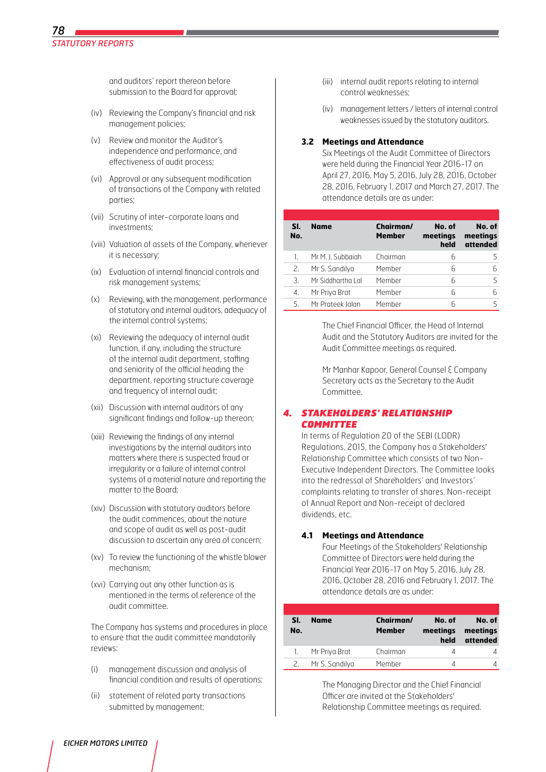and auditors' report thereon before submission to the Board for approval;

- (iv) Reviewing the Company's financial and risk management policies;
- (v) Review and monitor the Auditor's independence and performance, and effectiveness of audit process;
- (vi) Approval or any subsequent modification of transactions of the Company with related parties;
- (vii) Scrutiny of inter-corporate loans and investments;
- (viii) Valuation of assets of the Company, whenever it is necessary;
- (ix) Evaluation of internal financial controls and risk management systems;
- (x) Reviewing, with the management, performance of statutory and internal auditors, adequacy of the internal control systems;
- (xi) Reviewing the adequacy of internal audit function, if any, including the structure of the internal audit department, staffing and seniority of the official heading the department, reporting structure coverage and frequency of internal audit;
- (xii) Discussion with internal auditors of any significant findings and follow-up thereon;
- (xiii) Reviewing the findings of any internal investigations by the internal auditors into matters where there is suspected fraud or irregularity or a failure of internal control systems of a material nature and reporting the matter to the Board;
- (xiv) Discussion with statutory auditors before the audit commences, about the nature and scope of audit as well as post-audit discussion to ascertain any area of concern;
- (xv) To review the functioning of the whistle blower mechanism;
- (xvi) Carrying out any other function as is mentioned in the terms of reference of the audit committee.

 The Company has systems and procedures in place to ensure that the audit committee mandatorily reviews:

- (i) management discussion and analysis of financial condition and results of operations;
- (ii) statement of related party transactions submitted by management;
- (iii) internal audit reports relating to internal control weaknesses;
- (iv) management letters / letters of internal control weaknesses issued by the statutory auditors.

#### **3.2 Meetings and Attendance**

Six Meetings of the Audit Committee of Directors were held during the Financial Year 2016-17 on April 27, 2016, May 5, 2016, July 28, 2016, October 28, 2016, February 1, 2017 and March 27, 2017. The attendance details are as under:

| SI.<br>No. | <b>Name</b>       | Chairman/<br><b>Member</b> | No. of<br>meetings<br>held | No. of<br>meetings<br>attended |
|------------|-------------------|----------------------------|----------------------------|--------------------------------|
|            | Mr M. J. Subbaiah | Chairman                   | 6                          |                                |
| 2.         | Mr S. Sandilya    | Member                     | Ⴌ                          | Ⴌ                              |
| 3.         | Mr Siddhartha Lal | Member                     | 6                          |                                |
| 4.         | Mr Priya Brat     | Member                     | 6                          | Ⴌ                              |
| 5.         | Mr Prateek Jalan  | Member                     | Б                          |                                |

The Chief Financial Officer, the Head of Internal Audit and the Statutory Auditors are invited for the Audit Committee meetings as required.

Mr Manhar Kapoor, General Counsel & Company Secretary acts as the Secretary to the Audit Committee.

## *4. StakeholderS' Relationship Committee*

In terms of Regulation 20 of the SEBI (LODR) Regulations, 2015, the Company has a Stakeholders' Relationship Committee which consists of two Non-Executive Independent Directors. The Committee looks into the redressal of Shareholders' and Investors' complaints relating to transfer of shares, Non-receipt of Annual Report and Non-receipt of declared dividends, etc.

## **4.1 Meetings and Attendance**

Four Meetings of the Stakeholders' Relationship Committee of Directors were held during the Financial Year 2016-17 on May 5, 2016, July 28, 2016, October 28, 2016 and February 1, 2017. The attendance details are as under:

| SI.<br>No. | <b>Name</b>    | Chairman/<br><b>Member</b> | No. of<br>meetings<br>held | No. of<br>meetings<br>attended |
|------------|----------------|----------------------------|----------------------------|--------------------------------|
|            | Mr Priya Brat  | Chairman                   |                            |                                |
| 2          | Mr S. Sandilya | Member                     |                            |                                |

The Managing Director and the Chief Financial Officer are invited at the Stakeholders' Relationship Committee meetings as required.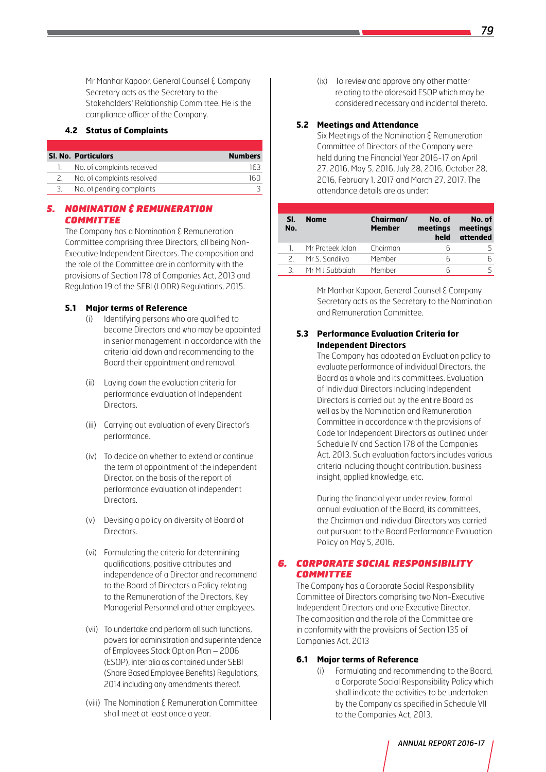Mr Manhar Kapoor, General Counsel & Company Secretary acts as the Secretary to the Stakeholders' Relationship Committee. He is the compliance officer of the Company.

## **4.2 Status of Complaints**

| <b>SI. No. Particulars</b> | <b>Numbers</b> |
|----------------------------|----------------|
| No. of complaints received | 163            |
| No. of complaints resolved | 160            |
| No. of pending complaints  |                |

## *5. Nomination & Remuneration Committee*

The Company has a Nomination  $\xi$  Remuneration Committee comprising three Directors, all being Non-Executive Independent Directors. The composition and the role of the Committee are in conformity with the provisions of Section 178 of Companies Act, 2013 and Regulation 19 of the SEBI (LODR) Regulations, 2015.

## **5.1 Major terms of Reference**

- (i) Identifying persons who are qualified to become Directors and who may be appointed in senior management in accordance with the criteria laid down and recommending to the Board their appointment and removal.
- (ii) Laying down the evaluation criteria for performance evaluation of Independent Directors.
- (iii) Carrying out evaluation of every Director's performance.
- (iv) To decide on whether to extend or continue the term of appointment of the independent Director, on the basis of the report of performance evaluation of independent Directors.
- (v) Devising a policy on diversity of Board of Directors.
- (vi) Formulating the criteria for determining qualifications, positive attributes and independence of a Director and recommend to the Board of Directors a Policy relating to the Remuneration of the Directors, Key Managerial Personnel and other employees.
- (vii) To undertake and perform all such functions, powers for administration and superintendence of Employees Stock Option Plan – 2006 (ESOP), inter alia as contained under SEBI (Share Based Employee Benefits) Regulations, 2014 including any amendments thereof.
- (viii) The Nomination & Remuneration Committee shall meet at least once a year.

(ix) To review and approve any other matter relating to the aforesaid ESOP which may be considered necessary and incidental thereto.

#### **5.2 Meetings and Attendance**

Six Meetings of the Nomination & Remuneration Committee of Directors of the Company were held during the Financial Year 2016-17 on April 27, 2016, May 5, 2016, July 28, 2016, October 28, 2016, February 1, 2017 and March 27, 2017. The attendance details are as under:

| SI.<br>No. | <b>Name</b>      | Chairman/<br><b>Member</b> | No. of<br>meetings<br>held | No. of<br>meetings<br>attended |
|------------|------------------|----------------------------|----------------------------|--------------------------------|
|            | Mr Prateek Jalan | Chairman                   | h                          |                                |
|            | Mr S. Sandilya   | Member                     | ĥ                          |                                |
| 3.         | Mr M J Subbaiah  | Member                     | հ                          |                                |

Mr Manhar Kapoor, General Counsel & Company Secretary acts as the Secretary to the Nomination and Remuneration Committee.

#### **5.3 Performance Evaluation Criteria for Independent Directors**

 The Company has adopted an Evaluation policy to evaluate performance of individual Directors, the Board as a whole and its committees. Evaluation of Individual Directors including Independent Directors is carried out by the entire Board as well as by the Nomination and Remuneration Committee in accordance with the provisions of Code for Independent Directors as outlined under Schedule IV and Section 178 of the Companies Act, 2013. Such evaluation factors includes various criteria including thought contribution, business insight, applied knowledge, etc.

During the financial year under review, formal annual evaluation of the Board, its committees, the Chairman and individual Directors was carried out pursuant to the Board Performance Evaluation Policy on May 5, 2016.

#### *6. Corporate Social Responsibility Committee*

The Company has a Corporate Social Responsibility Committee of Directors comprising two Non-Executive Independent Directors and one Executive Director. The composition and the role of the Committee are in conformity with the provisions of Section 135 of Companies Act, 2013

#### **6.1 Major terms of Reference**

(i) Formulating and recommending to the Board, a Corporate Social Responsibility Policy which shall indicate the activities to be undertaken by the Company as specified in Schedule VII to the Companies Act, 2013.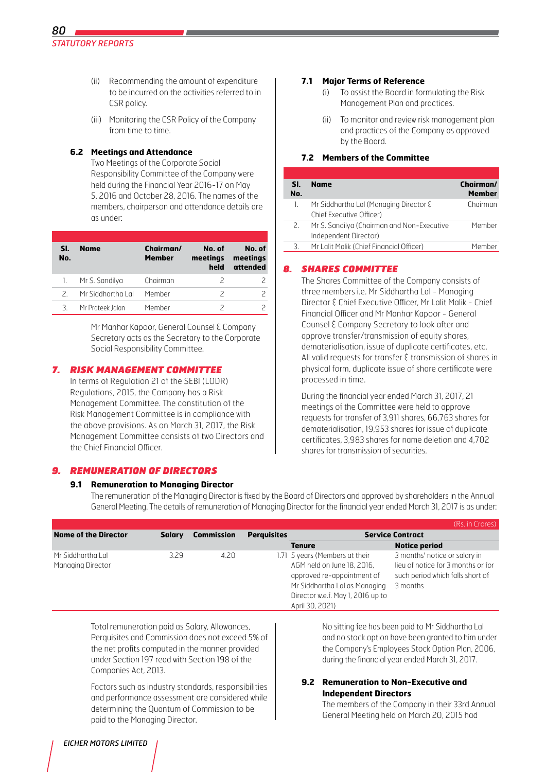- (ii) Recommending the amount of expenditure to be incurred on the activities referred to in CSR policy.
- (iii) Monitoring the CSR Policy of the Company from time to time.

#### **6.2 Meetings and Attendance**

Two Meetings of the Corporate Social Responsibility Committee of the Company were held during the Financial Year 2016-17 on May 5, 2016 and October 28, 2016. The names of the members, chairperson and attendance details are as under:

| SI.<br>No. | <b>Name</b>       | Chairman/<br><b>Member</b> | No. of<br>meetings<br>held | No. of<br>meetings<br>attended |
|------------|-------------------|----------------------------|----------------------------|--------------------------------|
| 1.         | Mr S. Sandilya    | Chairman                   | 2                          |                                |
| 2          | Mr Siddhartha Lal | Member                     | $\overline{\phantom{a}}$   |                                |
| 3.         | Mr Prateek Jalan  | Member                     |                            |                                |

Mr Manhar Kapoor, General Counsel & Company Secretary acts as the Secretary to the Corporate Social Responsibility Committee.

## *7. Risk Management Committee*

In terms of Regulation 21 of the SEBI (LODR) Regulations, 2015, the Company has a Risk Management Committee. The constitution of the Risk Management Committee is in compliance with the above provisions. As on March 31, 2017, the Risk Management Committee consists of two Directors and the Chief Financial Officer.

## *9. REMUNERATION OF DIRECTORS*

## **9.1 Remuneration to Managing Director**

#### **7.1 Major Terms of Reference**

- (i) To assist the Board in formulating the Risk Management Plan and practices.
- (ii) To monitor and review risk management plan and practices of the Company as approved by the Board.

#### **7.2 Members of the Committee**

| SI.<br>No. | Name                                                                | Chairman/<br><b>Member</b> |
|------------|---------------------------------------------------------------------|----------------------------|
| 1.         | Mr Siddhartha Lal (Managing Director ξ<br>Chief Executive Officer)  | Chairman                   |
| 2.         | Mr S. Sandilya (Chairman and Non-Executive<br>Independent Director) | Member                     |
| 3.         | Mr Lalit Malik (Chief Financial Officer)                            | Member                     |

## *8. Shares Committee*

The Shares Committee of the Company consists of three members i.e. Mr Siddhartha Lal - Managing Director & Chief Executive Officer, Mr Lalit Malik - Chief Financial Officer and Mr Manhar Kapoor - General Counsel & Company Secretary to look after and approve transfer/transmission of equity shares, dematerialisation, issue of duplicate certificates, etc. All valid requests for transfer & transmission of shares in physical form, duplicate issue of share certificate were processed in time.

During the financial year ended March 31, 2017, 21 meetings of the Committee were held to approve requests for transfer of 3,911 shares, 66,763 shares for dematerialisation, 19,953 shares for issue of duplicate certificates, 3,983 shares for name deletion and 4,702 shares for transmission of securities.

The remuneration of the Managing Director is fixed by the Board of Directors and approved by shareholders in the Annual General Meeting. The details of remuneration of Managing Director for the financial year ended March 31, 2017 is as under:

|                                        |               |                   |                    |                                                                                                                                                                                     | (Rs. in Crores)                                                                                                     |
|----------------------------------------|---------------|-------------------|--------------------|-------------------------------------------------------------------------------------------------------------------------------------------------------------------------------------|---------------------------------------------------------------------------------------------------------------------|
| <b>Name of the Director</b>            | <b>Salary</b> | <b>Commission</b> | <b>Perquisites</b> |                                                                                                                                                                                     | <b>Service Contract</b>                                                                                             |
|                                        |               |                   |                    | <b>Tenure</b>                                                                                                                                                                       | <b>Notice period</b>                                                                                                |
| Mr Siddhartha Lal<br>Managing Director | 3.29          | 4.20              |                    | 1.71 5 years (Members at their<br>AGM held on June 18, 2016,<br>approved re-appointment of<br>Mr Siddhartha Lal as Managing<br>Director w.e.f. May 1, 2016 up to<br>April 30, 2021) | 3 months' notice or salary in<br>lieu of notice for 3 months or for<br>such period which falls short of<br>3 months |

Total remuneration paid as Salary, Allowances, Perquisites and Commission does not exceed 5% of the net profits computed in the manner provided under section 197 read with section 198 of the Companies Act, 2013.

 Factors such as industry standards, responsibilities and performance assessment are considered while determining the Quantum of Commission to be paid to the Managing Director.

No sitting fee has been paid to Mr Siddhartha Lal and no stock option have been granted to him under the Company's Employees Stock Option Plan, 2006, during the financial year ended March 31, 2017.

## **9.2 Remuneration to Non-Executive and Independent Directors**

The members of the Company in their 33rd Annual General Meeting held on March 20, 2015 had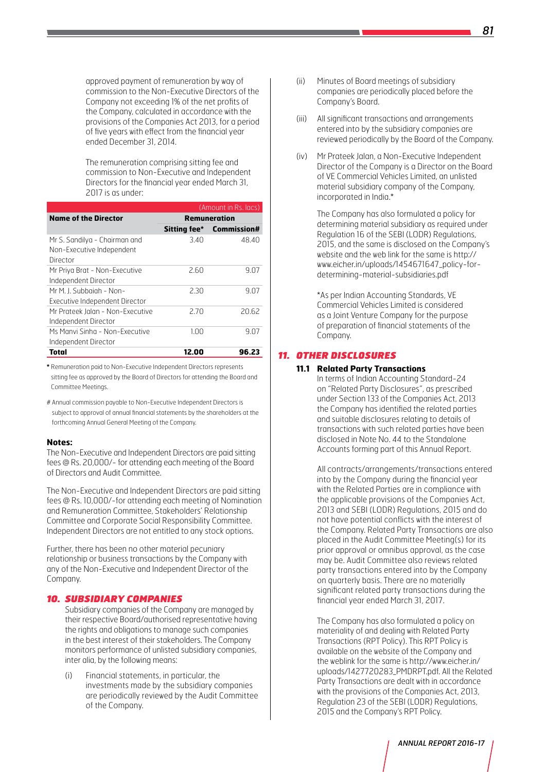approved payment of remuneration by way of commission to the Non-Executive Directors of the Company not exceeding 1% of the net profits of the Company, calculated in accordance with the provisions of the Companies Act 2013, for a period of five years with effect from the financial year ended December 31, 2014.

 The remuneration comprising sitting fee and commission to Non-Executive and Independent Directors for the financial year ended March 31, 2017 is as under:

| (Amount in Rs. lacs)                                                   |       |                          |  |  |
|------------------------------------------------------------------------|-------|--------------------------|--|--|
| <b>Name of the Director</b>                                            |       | <b>Remuneration</b>      |  |  |
|                                                                        |       | Sitting fee* Commission# |  |  |
| Mr S. Sandilya - Chairman and<br>Non-Executive Independent<br>Director | 3.40  | 48.40                    |  |  |
| Mr Priya Brat - Non-Executive<br>Independent Director                  | 2.60  | 9.07                     |  |  |
| Mr M. J. Subbaigh - Non-<br>Executive Independent Director             | 2.30  | 9.07                     |  |  |
| Mr Prateek Jalan - Non-Executive<br>Independent Director               | 2.70  | 20.62                    |  |  |
| Ms Manyi Sinha - Non-Executive<br>Independent Director                 | 1.00  | 9.07                     |  |  |
| Total                                                                  | 12.00 | 96.23                    |  |  |

**\*** Remuneration paid to Non-Executive Independent Directors represents sitting fee as approved by the Board of Directors for attending the Board and Committee Meetings.

# Annual commission payable to Non-Executive Independent Directors is subject to approval of annual financial statements by the shareholders at the forthcoming Annual General Meeting of the Company.

#### **Notes:**

The Non-Executive and Independent Directors are paid sitting fees @ Rs. 20,000/- for attending each meeting of the Board of Directors and Audit Committee.

The Non-Executive and Independent Directors are paid sitting fees @ Rs. 10,000/-for attending each meeting of Nomination and Remuneration Committee, Stakeholders' Relationship Committee and Corporate Social Responsibility Committee. Independent Directors are not entitled to any stock options.

Further, there has been no other material pecuniary relationship or business transactions by the Company with any of the Non-Executive and Independent Director of the Company.

#### *10. SUBSIDIARY COMPANIES*

Subsidiary companies of the Company are managed by their respective Board/authorised representative having the rights and obligations to manage such companies in the best interest of their stakeholders. The Company monitors performance of unlisted subsidiary companies, inter alia, by the following means:

(i) Financial statements, in particular, the investments made by the subsidiary companies are periodically reviewed by the Audit Committee of the Company.

- (ii) Minutes of Board meetings of subsidiary companies are periodically placed before the Company's Board.
- (iii) All significant transactions and arrangements entered into by the subsidiary companies are reviewed periodically by the Board of the Company.
- (iv) Mr Prateek Jalan, a Non-Executive Independent Director of the Company is a Director on the Board of VE Commercial Vehicles Limited, an unlisted material subsidiary company of the Company, incorporated in India.\*

 The Company has also formulated a policy for determining material subsidiary as required under Regulation 16 of the SEBI (LODR) Regulations, 2015, and the same is disclosed on the Company's website and the web link for the same is http:// www.eicher.in/uploads/1454671647\_policy-fordetermining-material-subsidiaries.pdf

\*As per Indian Accounting Standards, VE Commercial Vehicles Limited is considered as a Joint Venture Company for the purpose of preparation of financial statements of the Company.

## *11. OTHER DISCLOSURES*

#### **11.1 Related Party Transactions**

In terms of Indian Accounting Standard-24 on "Related Party Disclosures", as prescribed under Section 133 of the Companies Act, 2013 the Company has identified the related parties and suitable disclosures relating to details of transactions with such related parties have been disclosed in Note No. 44 to the Standalone Accounts forming part of this Annual Report.

All contracts/arrangements/transactions entered into by the Company during the financial year with the Related Parties are in compliance with the applicable provisions of the Companies Act, 2013 and SEBI (LODR) Regulations, 2015 and do not have potential conflicts with the interest of the Company. Related Party Transactions are also placed in the Audit Committee Meeting(s) for its prior approval or omnibus approval, as the case may be. Audit Committee also reviews related party transactions entered into by the Company on quarterly basis. There are no materially significant related party transactions during the financial year ended March 31, 2017.

 The Company has also formulated a policy on materiality of and dealing with Related Party Transactions (RPT Policy). This RPT Policy is available on the website of the Company and the weblink for the same is http://www.eicher.in/ uploads/1427720283\_PMDRPT.pdf. All the Related Party Transactions are dealt with in accordance with the provisions of the Companies Act, 2013, Regulation 23 of the SEBI (LODR) Regulations, 2015 and the Company's RPT Policy.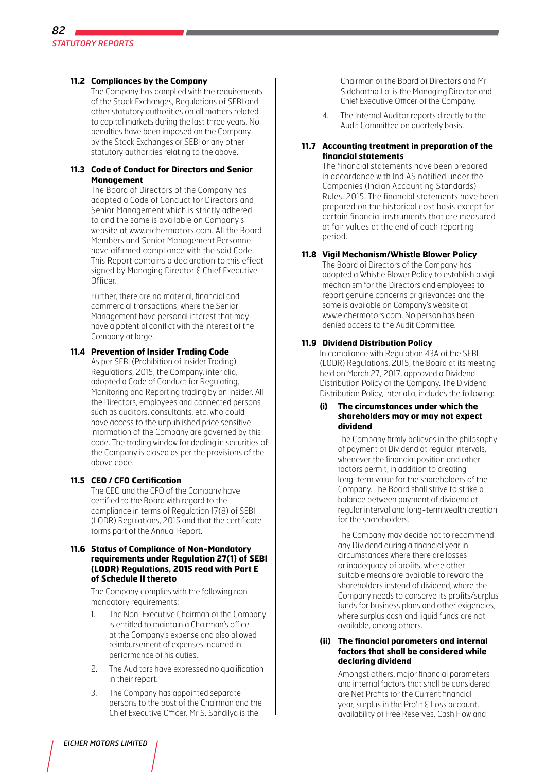## **11.2 Compliances by the Company**

 The Company has complied with the requirements of the Stock Exchanges, Regulations of SEBI and other statutory authorities on all matters related to capital markets during the last three years. No penalties have been imposed on the Company by the Stock Exchanges or SEBI or any other statutory authorities relating to the above.

## **11.3 Code of Conduct for Directors and Senior Management**

 The Board of Directors of the Company has adopted a Code of Conduct for Directors and Senior Management which is strictly adhered to and the same is available on Company's website at www.eichermotors.com. All the Board. Members and Senior Management Personnel have affirmed compliance with the said Code. This Report contains a declaration to this effect signed by Managing Director & Chief Executive Officer.

Further, there are no material, financial and commercial transactions, where the Senior Management have personal interest that may have a potential conflict with the interest of the Company at large.

## **11.4 Prevention of Insider Trading Code**

As per SEBI (Prohibition of Insider Trading) Regulations, 2015, the Company, inter alia, adopted a Code of Conduct for Regulating, Monitoring and Reporting trading by an Insider. All the Directors, employees and connected persons such as auditors, consultants, etc. who could have access to the unpublished price sensitive information of the Company are governed by this code. The trading window for dealing in securities of the Company is closed as per the provisions of the above code.

## **11.5 CEO / CFO Certification**

 The CEO and the CFO of the Company have certified to the Board with regard to the compliance in terms of Regulation 17(8) of SEBI (LODR) Regulations, 2015 and that the certificate forms part of the Annual Report.

#### **11.6 Status of Compliance of Non-Mandatory requirements under Requlation 27(1) of SEBI (LODR) Regulations, 2015 read with Part E of Schedule II thereto**

 The Company complies with the following nonmandatory requirements:

- 1. The Non-Executive Chairman of the Company is entitled to maintain a Chairman's office at the Company's expense and also allowed reimbursement of expenses incurred in performance of his duties.
- 2. The Auditors have expressed no qualification in their report.
- 3. The Company has appointed separate persons to the post of the Chairman and the Chief Executive Officer. Mr S. Sandilya is the

Chairman of the Board of Directors and Mr Siddhartha Lal is the Managing Director and Chief Executive Officer of the Company.

4. The Internal Auditor reports directly to the Audit Committee on quarterly basis.

## **11.7 Accounting treatment in preparation of the financial statements**

 The financial statements have been prepared in accordance with Ind AS notified under the Companies (Indian Accounting Standards) Rules, 2015. The financial statements have been prepared on the historical cost basis except for certain financial instruments that are measured at fair values at the end of each reporting period.

## **11.8 Vigil Mechanism/Whistle Blower Policy**

 The Board of Directors of the Company has adopted a Whistle Blower Policy to establish a vigil mechanism for the Directors and employees to report genuine concerns or grievances and the same is available on Company's website at www.eichermotors.com. No person has been denied access to the Audit Committee.

## **11.9 Dividend Distribution Policy**

In compliance with Regulation 43A of the SEBI (LODR) Regulations, 2015, the Board at its meeting held on March 27, 2017, approved a Dividend Distribution Policy of the Company. The Dividend Distribution Policy, inter alia, includes the following:

#### **(i) The circumstances under which the shareholders may or may not expect dividend**

The Company firmly believes in the philosophy of payment of Dividend at regular intervals, whenever the financial position and other factors permit, in addition to creating long-term value for the shareholders of the Company. The Board shall strive to strike a balance between payment of dividend at regular interval and long-term wealth creation for the shareholders.

The Company may decide not to recommend any Dividend during a financial year in circumstances where there are losses or inadequacy of profits, where other suitable means are available to reward the shareholders instead of dividend, where the Company needs to conserve its profits/surplus funds for business plans and other exigencies, where surplus cash and liquid funds are not available, among others.

#### **(ii) The financial parameters and internal factors that shall be considered while declaring dividend**

Amongst others, major financial parameters and internal factors that shall be considered are Net Profits for the Current financial year, surplus in the Profit & Loss account, availability of Free Reserves, Cash Flow and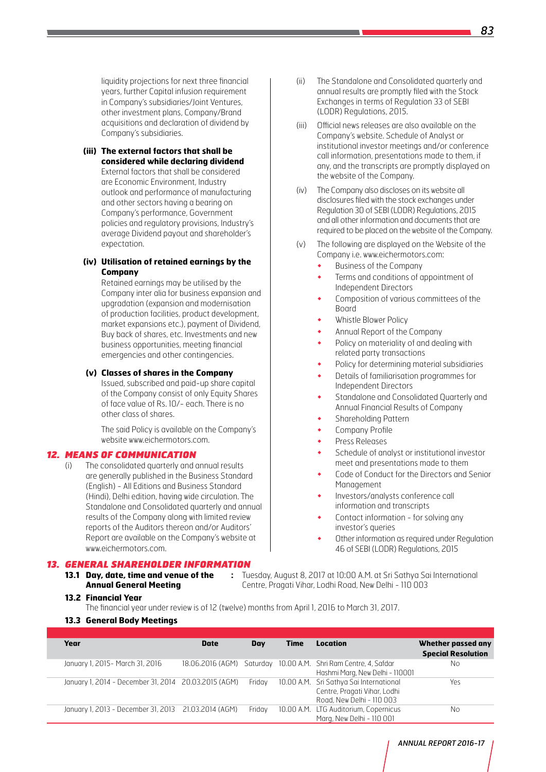liquidity projections for next three financial years, further Capital infusion requirement in Company's subsidiaries/Joint Ventures, other investment plans, Company/Brand acquisitions and declaration of dividend by Company's subsidiaries.

#### **(iii) The external factors that shall be considered while declaring dividend**

External factors that shall be considered are Economic Environment, Industry outlook and performance of manufacturing and other sectors having a bearing on Company's performance, Government policies and regulatory provisions, Industry's average Dividend payout and shareholder's expectation.

## **(iv) Utilisation of retained earnings by the Company**

Retained earnings may be utilised by the Company inter alia for business expansion and upgradation (expansion and modernisation of production facilities, product development, market expansions etc.), payment of Dividend, Buy back of shares, etc. Investments and new business opportunities, meeting financial emergencies and other contingencies.

#### **(v) Classes of shares in the Company**

Issued, subscribed and paid-up share capital of the Company consist of only Equity Shares of face value of Rs. 10/- each. There is no other class of shares.

The said Policy is available on the Company's website www.eichermotors.com.

## *12. Means of Communication*

(i) The consolidated quarterly and annual results are generally published in the Business Standard (English) - All Editions and Business Standard (Hindi), Delhi edition, having wide circulation. The Standalone and Consolidated quarterly and annual results of the Company along with limited review reports of the Auditors thereon and/or Auditors' Report are available on the Company's website at www.eichermotors.com.

#### *13. GENERAL SHAREHOLDER INFORMATION*

**13.1 Day, date, time and venue of the :** Tuesday, August 8, 2017 at 10:00 A.M. at Sri Sathya Sai International **Annual General Meeting** Centre, Pragati Vihar, Lodhi Road, New Delhi - 110 003

- **13.2 Financial Year**
	- The financial year under review is of 12 (twelve) months from April 1, 2016 to March 31, 2017.
- **13.3 General Body Meetings**

| Year                             | <b>Date</b> | Day    | Time | Location                                                                                             | Whether passed any<br><b>Special Resolution</b> |
|----------------------------------|-------------|--------|------|------------------------------------------------------------------------------------------------------|-------------------------------------------------|
| January 1, 2015 - March 31, 2016 |             |        |      | 18.06.2016 (AGM) Saturday 10.00 A.M. Shri Ram Centre, 4, Safdar<br>Hashmi Marg, New Delhi - 110001   | No.                                             |
|                                  |             | Fridav |      | 10.00 A.M. Sri Sathya Sai International<br>Centre, Pragati Vihar, Lodhi<br>Road, New Delhi - 110 003 | Yes                                             |
|                                  |             | Friday |      | 10.00 A.M. LTG Auditorium, Copernicus<br>Marg, New Delhi - 110 001                                   | No                                              |

- (ii) The Standalone and Consolidated quarterly and annual results are promptly filed with the Stock Exchanges in terms of Regulation 33 of SEBI (LODR) Regulations, 2015.
- (iii) Official news releases are also available on the Company's website. Schedule of Analyst or institutional investor meetings and/or conference call information, presentations made to them, if any, and the transcripts are promptly displayed on the website of the Company.
- (iv) The Company also discloses on its website all disclosures filed with the stock exchanges under Regulation 30 of SEBI (LODR) Regulations, 2015 and all other information and documents that are required to be placed on the website of the Company.
- (v) The following are displayed on the Website of the Company i.e. www.eichermotors.com:
	- Business of the Company
	- Terms and conditions of appointment of Independent Directors
	- Composition of various committees of the Board
	- Whistle Blower Policy
	- Annual Report of the Company
	- Policy on materiality of and dealing with related party transactions
	- Policy for determining material subsidiaries
	- Details of familiarisation programmes for Independent Directors
	- Standalone and Consolidated Quarterly and Annual Financial Results of Company
	- Shareholding Pattern
	- Company Profile
	- Press Releases
	- Schedule of analyst or institutional investor meet and presentations made to them
	- Code of Conduct for the Directors and Senior Management
	- Investors/analysts conference call information and transcripts
	- Contact information for solving any investor's queries
	- Other information as required under Regulation 46 of SEBI (LODR) Regulations, 2015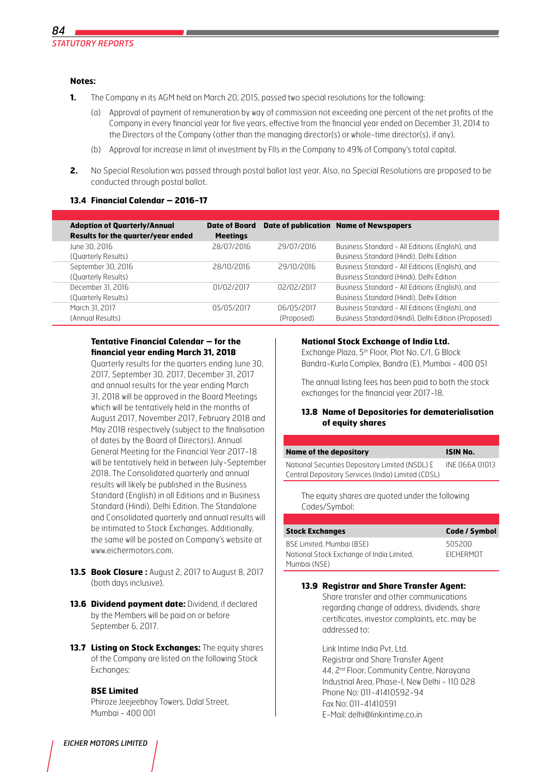#### **Notes:**

- **1.** The Company in its AGM held on March 20, 2015, passed two special resolutions for the following:
	- (a) Approval of payment of remuneration by way of commission not exceeding one percent of the net profits of the Company in every financial year for five years, effective from the financial year ended on December 31, 2014 to the Directors of the Company (other than the managing director(s) or whole-time director(s), if any).
	- (b) Approval for increase in limit of investment by FIIs in the Company to 49% of Company's total capital.
- **2.** No Special Resolution was passed through postal ballot last year. Also, no Special Resolutions are proposed to be conducted through postal ballot.

#### **13.4 Financial Calendar – 2016-17**

| <b>Adoption of Quarterly/Annual</b><br>Results for the quarter/year ended | <b>Date of Board</b><br><b>Meetings</b> |                          | <b>Date of publication Name of Newspapers</b>                                                          |
|---------------------------------------------------------------------------|-----------------------------------------|--------------------------|--------------------------------------------------------------------------------------------------------|
| June 30, 2016<br>(Quarterly Results)                                      | 28/07/2016                              | 29/07/2016               | Business Standard - All Editions (English), and<br>Business Standard (Hindi), Delhi Edition            |
| September 30, 2016<br>(Quarterly Results)                                 | 28/10/2016                              | 29/10/2016               | Business Standard - All Editions (English), and<br>Business Standard (Hindi), Delhi Edition            |
| December 31, 2016<br>(Quarterly Results)                                  | 01/02/2017                              | 02/02/2017               | Business Standard - All Editions (English), and<br>Business Standard (Hindi), Delhi Edition            |
| March 31, 2017<br>(Annual Results)                                        | 05/05/2017                              | 06/05/2017<br>(Proposed) | Business Standard - All Editions (English), and<br>Business Standard (Hindi), Delhi Edition (Proposed) |

## **Tentative Financial Calendar – for the financial year ending March 31, 2018**

Quarterly results for the quarters ending June 30, 2017, September 30, 2017, December 31, 2017 and annual results for the year ending March 31, 2018 will be approved in the Board Meetings which will be tentatively held in the months of August 2017, November 2017, February 2018 and May 2018 respectively (subject to the finalisation of dates by the Board of Directors). Annual General Meeting for the Financial Year 2017-18 will be tentatively held in between July-September 2018. The Consolidated quarterly and annual results will likely be published in the Business Standard (English) in all Editions and in Business Standard (Hindi), Delhi Edition. The Standalone and Consolidated quarterly and annual results will be intimated to Stock Exchanges. Additionally, the same will be posted on Company's website at www.eichermotors.com.

- **13.5 Book Closure : August 2, 2017 to August 8, 2017** (both days inclusive).
- **13.6 Dividend payment date: Dividend, if declared** by the Members will be paid on or before September 6, 2017.
- **13.7 Listing on Stock Exchanges:** The equity shares of the Company are listed on the following Stock Exchanges:

## **BSE Limited**

Phiroze Jeejeebhoy Towers, Dalal Street, Mumbai - 400 001

#### **National Stock Exchange of India Ltd.**

Exchange Plaza, 5<sup>th</sup> Floor, Plot No. C/1, G Block Bandra-Kurla Complex, Bandra (E), Mumbai - 400 051

The annual listing fees has been paid to both the stock exchanges for the financial year 2017-18.

#### **13.8 Name of Depositories for dematerialisation of equity shares**

| <b>Name of the depository</b>                                                                         | <b>ISIN No.</b> |
|-------------------------------------------------------------------------------------------------------|-----------------|
| National Securities Depository Limited (NSDL) ξ<br>Central Depository Services (India) Limited (CDSL) | INE 066A 01013  |
| The equity shares are quoted under the following<br>Codes/Symbol:                                     |                 |

| <b>Stock Exchanges</b>                                                                 | Code / Symbol              |
|----------------------------------------------------------------------------------------|----------------------------|
| BSE Limited. Mumbai (BSE)<br>National Stock Exchange of India Limited,<br>Mumbai (NSE) | 505200<br><b>FICHERMOT</b> |

## **13.9 Registrar and Share Transfer Agent:**

Share transfer and other communications regarding change of address, dividends, share certificates, investor complaints, etc. may be addressed to:

Link Intime India Pvt. Ltd. Registrar and Share Transfer Agent 44, 2nd Floor, Community Centre, Narayana Industrial Area, Phase-I, New Delhi - 110 028 Phone No: 011-41410592-94 Fax No: 011-41410591 E-Mail: delhi@linkintime.co.in

#### *EICHER MOTORS LIMITED*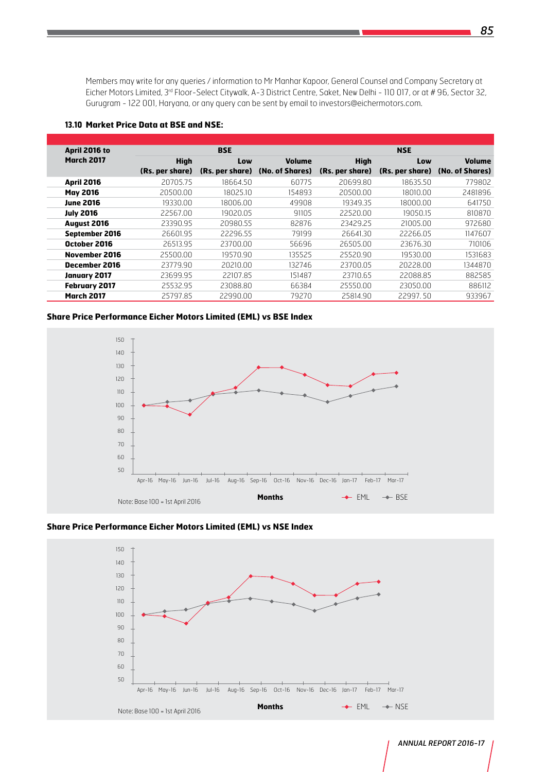Members may write for any queries / information to Mr Manhar Kapoor, General Counsel and Company Secretary at Eicher Motors Limited, 3<sup>rd</sup> Floor-Select Citywalk, A-3 District Centre, Saket, New Delhi - 110 017, or at # 96, Sector 32, Gurugram - 122 001, Haryana, or any query can be sent by email to investors@eichermotors.com.

#### **13.10 Market Price Data at BSE and NSE:**

| April 2016 to        | <b>BSE</b>      |                 |                 | <b>NSE</b>      |                 |                 |  |
|----------------------|-----------------|-----------------|-----------------|-----------------|-----------------|-----------------|--|
| <b>March 2017</b>    | <b>High</b>     | Low             | <b>Volume</b>   | <b>High</b>     | Low             | <b>Volume</b>   |  |
|                      | (Rs. per share) | (Rs. per share) | (No. of Shares) | (Rs. per share) | (Rs. per share) | (No. of Shares) |  |
| <b>April 2016</b>    | 20705.75        | 18664.50        | 60775           | 20699.80        | 18635.50        | 779802          |  |
| <b>May 2016</b>      | 20500.00        | 18025.10        | 154893          | 20500.00        | 18010.00        | 2481896         |  |
| <b>June 2016</b>     | 19330.00        | 18006.00        | 49908           | 19349.35        | 18000.00        | 641750          |  |
| <b>July 2016</b>     | 22567.00        | 19020.05        | 9110.5          | 22520.00        | 19050.15        | 810870          |  |
| <b>August 2016</b>   | 23390.95        | 20980.55        | 82876           | 23429.25        | 21005.00        | 972680          |  |
| September 2016       | 26601.95        | 22296.55        | 79199           | 26641.30        | 22266.05        | 1147607         |  |
| October 2016         | 26513.95        | 23700.00        | 56696           | 26505.00        | 23676.30        | 710106          |  |
| November 2016        | 25500.00        | 19570.90        | 135525          | 25520.90        | 19530.00        | 1531683         |  |
| December 2016        | 23779.90        | 20210.00        | 132746          | 23700.05        | 20228.00        | 1344870         |  |
| <b>January 2017</b>  | 23699.95        | 22107.85        | 151487          | 23710.65        | 22088.85        | 882585          |  |
| <b>February 2017</b> | 25532.95        | 23088.80        | 66384           | 25550.00        | 23050.00        | 886112          |  |
| <b>March 2017</b>    | 25797.85        | 22990.00        | 79270           | 25814.90        | 22997.50        | 933967          |  |

## **Share Price Performance Eicher Motors Limited (EML) vs BSE Index**







*ANNUAL REPORT 2016-17*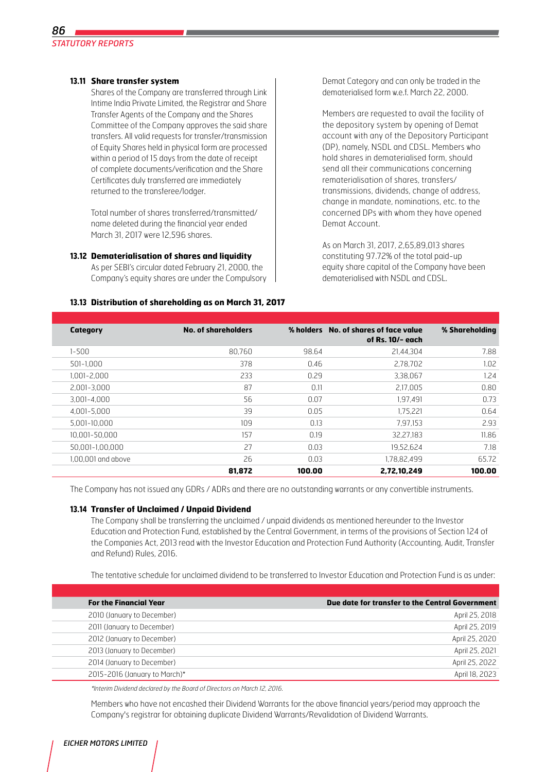## **13.11 Share transfer system**

Shares of the Company are transferred through Link Intime India Private Limited, the Registrar and Share Transfer Agents of the Company and the Shares Committee of the Company approves the said share transfers. All valid requests for transfer/transmission of Equity Shares held in physical form are processed within a period of 15 days from the date of receipt of complete documents/verification and the Share Certificates duly transferred are immediately returned to the transferee/lodger.

Total number of shares transferred/transmitted/ name deleted during the financial year ended March 31, 2017 were 12,596 shares.

#### **13.12 Dematerialisation of shares and liquidity**

As per SEBI's circular dated February 21, 2000, the Company's equity shares are under the Compulsory

**13.13 Distribution of shareholding as on March 31, 2017**

Demat Category and can only be traded in the dematerialised form w.e.f. March 22, 2000.

Members are requested to avail the facility of the depository system by opening of Demat account with any of the Depository Participant (DP), namely, NSDL and CDSL. Members who hold shares in dematerialised form, should send all their communications concerning rematerialisation of shares, transfers/ transmissions, dividends, change of address, change in mandate, nominations, etc. to the concerned DPs with whom they have opened Demat Account.

As on March 31, 2017, 2,65,89,013 shares constituting 97.72% of the total paid-up equity share capital of the Company have been dematerialised with NSDL and CDSL.

| Category           | <b>No. of shareholders</b> |        | % holders No. of shares of face value | % Shareholding |
|--------------------|----------------------------|--------|---------------------------------------|----------------|
|                    |                            |        | of Rs. 10/- each                      |                |
| $1 - 500$          | 80.760                     | 98.64  | 21,44,304                             | 7.88           |
| 501-1,000          | 378                        | 0.46   | 2,78,702                              | 1.02           |
| 1,001-2,000        | 233                        | 0.29   | 3,38,067                              | 1.24           |
| 2.001-3.000        | 87                         | 0.11   | 2,17,005                              | 0.80           |
| $3.001 - 4.000$    | 56                         | 0.07   | 1,97,491                              | 0.73           |
| 4.001-5.000        | 39                         | 0.05   | 1.75.221                              | 0.64           |
| 5.001-10.000       | 109                        | 0.13   | 7,97,153                              | 2.93           |
| 10.001-50.000      | 157                        | 0.19   | 32.27.183                             | 11.86          |
| 50.001-1.00.000    | 27                         | 0.03   | 19.52.624                             | 7.18           |
| 1.00.001 and above | 26                         | 0.03   | 1,78,82,499                           | 65.72          |
|                    | 81,872                     | 100.00 | 2,72,10,249                           | 100.00         |

The Company has not issued any GDRs / ADRs and there are no outstanding warrants or any convertible instruments.

## **13.14 Transfer of Unclaimed / Unpaid Dividend**

The Company shall be transferring the unclaimed / unpaid dividends as mentioned hereunder to the Investor Education and Protection Fund, established by the Central Government, in terms of the provisions of Section 124 of the Companies Act, 2013 read with the Investor Education and Protection Fund Authority (Accounting, Audit, Transfer and Refund) Rules, 2016.

The tentative schedule for unclaimed dividend to be transferred to Investor Education and Protection Fund is as under:

| <b>For the Financial Year</b> | Due date for transfer to the Central Government |
|-------------------------------|-------------------------------------------------|
| 2010 (January to December)    | April 25, 2018                                  |
| 2011 (January to December)    | April 25, 2019                                  |
| 2012 (January to December)    | April 25, 2020                                  |
| 2013 (January to December)    | April 25, 2021                                  |
| 2014 (January to December)    | April 25, 2022                                  |
| 2015-2016 (January to March)* | April 18, 2023                                  |

\*Interim Dividend declared by the Board of Directors on March 12, 2016.

Members who have not encashed their Dividend Warrants for the above financial years/period may approach the Company's registrar for obtaining duplicate Dividend Warrants/Revalidation of Dividend Warrants.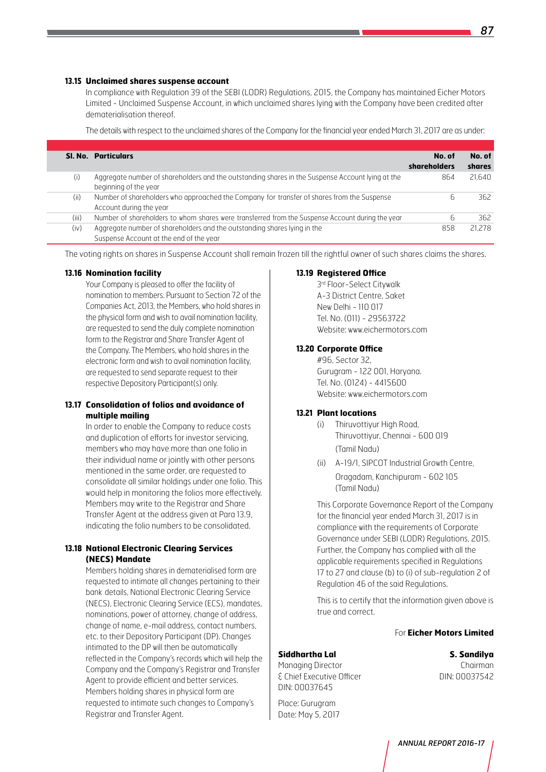#### **13.15 Unclaimed shares suspense account**

In compliance with Regulation 39 of the SEBI (LODR) Regulations, 2015, the Company has maintained Eicher Motors Limited - Unclaimed Suspense Account, in which unclaimed shares lying with the Company have been credited after dematerialisation thereof.

The details with respect to the unclaimed shares of the Company for the financial year ended March 31, 2017 are as under:

|       | <b>SI. No. Particulars</b>                                                                                                | No. of<br>shareholders | No. of<br>shares |
|-------|---------------------------------------------------------------------------------------------------------------------------|------------------------|------------------|
| (i)   | Aggregate number of shareholders and the outstanding shares in the Suspense Account lying at the<br>beginning of the year | 864                    | 21.640           |
| (ii)  | Number of shareholders who approached the Company for transfer of shares from the Suspense<br>Account during the year     | b                      | 362              |
| (iii) | Number of shareholders to whom shares were transferred from the Suspense Account during the year                          | b                      | 362              |
| (iv)  | Aggregate number of shareholders and the outstanding shares lying in the<br>Suspense Account at the end of the year       | 858                    | 21.278           |

The voting rights on shares in Suspense Account shall remain frozen till the rightful owner of such shares claims the shares.

#### **13.16 Nomination facility**

Your Company is pleased to offer the facility of nomination to members. Pursuant to Section 72 of the Companies Act, 2013, the Members, who hold shares in the physical form and wish to avail nomination facility, are requested to send the duly complete nomination form to the Registrar and Share Transfer Agent of the Company. The Members, who hold shares in the electronic form and wish to avail nomination facility, are requested to send separate request to their respective Depository Participant(s) only.

## **13.17 Consolidation of folios and avoidance of multiple mailing**

 In order to enable the Company to reduce costs and duplication of efforts for investor servicing, members who may have more than one folio in their individual name or jointly with other persons mentioned in the same order, are requested to consolidate all similar holdings under one folio. This would help in monitoring the folios more effectively. Members may write to the Registrar and Share Transfer Agent at the address given at Para 13.9, indicating the folio numbers to be consolidated.

## **13.18 National Electronic Clearing Services (NECS) Mandate**

Members holding shares in dematerialised form are requested to intimate all changes pertaining to their bank details, National Electronic Clearing Service (NECS), Electronic Clearing Service (ECS), mandates, nominations, power of attorney, change of address, change of name, e-mail address, contact numbers, etc. to their Depository Participant (DP). Changes intimated to the DP will then be automatically reflected in the Company's records which will help the Company and the Company's Registrar and Transfer Agent to provide efficient and better services. Members holding shares in physical form are requested to intimate such changes to Company's Registrar and Transfer Agent.

#### **13.19 Registered Office**

3rd Floor-Select Citywalk A-3 District Centre, Saket New Delhi - 110 017 Tel. No. (011) - 29563722 Website: www.eichermotors.com

#### **13.20 Corporate Office**

#96, Sector 32, Gurugram - 122 001, Haryana. Tel. No. (0124) - 4415600 Website: www.eichermotors.com

## **13.21 Plant locations**

- (i) Thiruvottiyur High Road, Thiruvottiyur, Chennai - 600 019 (Tamil Nadu)
- (ii) A-19/1, SIPCOT Industrial Growth Centre, Oragadam, Kanchipuram - 602 105 (Tamil Nadu)

This Corporate Governance Report of the Company for the financial year ended March 31, 2017 is in compliance with the requirements of Corporate Governance under SEBI (LODR) Regulations, 2015. Further, the Company has complied with all the applicable requirements specified in Regulations 17 to 27 and clause (b) to (i) of sub-regulation 2 of Regulation 46 of the said Regulations.

 This is to certify that the information given above is true and correct.

#### For **Eicher Motors Limited**

#### **Siddhartha Lal S. Sandilya**

Place: Gurugram Date: May 5, 2017

Managing Director **Chairman** & Chief Executive Officer DIN: 00037542 DIN: 00037645

*87*

*ANNUAL REPORT 2016-17*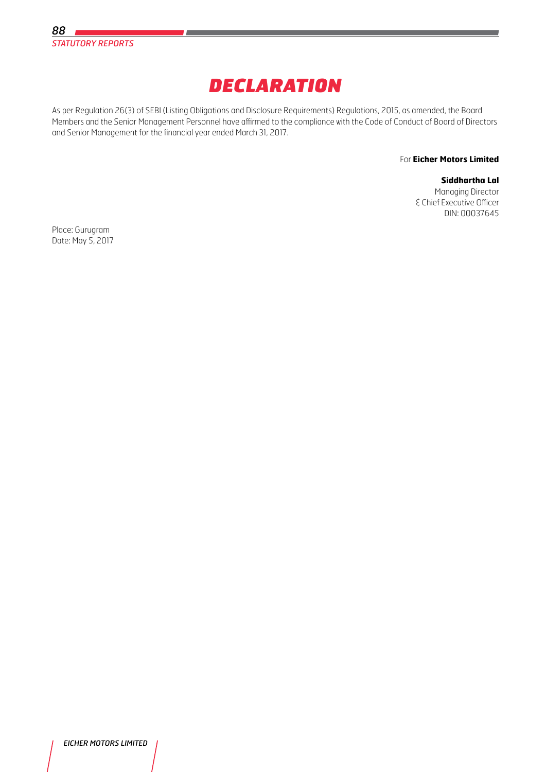

## *DECLARATION*

As per Regulation 26(3) of SEBI (Listing Obligations and Disclosure Requirements) Regulations, 2015, as amended, the Board Members and the Senior Management Personnel have affirmed to the compliance with the Code of Conduct of Board of Directors and Senior Management for the financial year ended March 31, 2017.

#### For **Eicher Motors Limited**

## **Siddhartha Lal**

Managing Director & Chief Executive Officer DIN: 00037645

Place: Gurugram Date: May 5, 2017